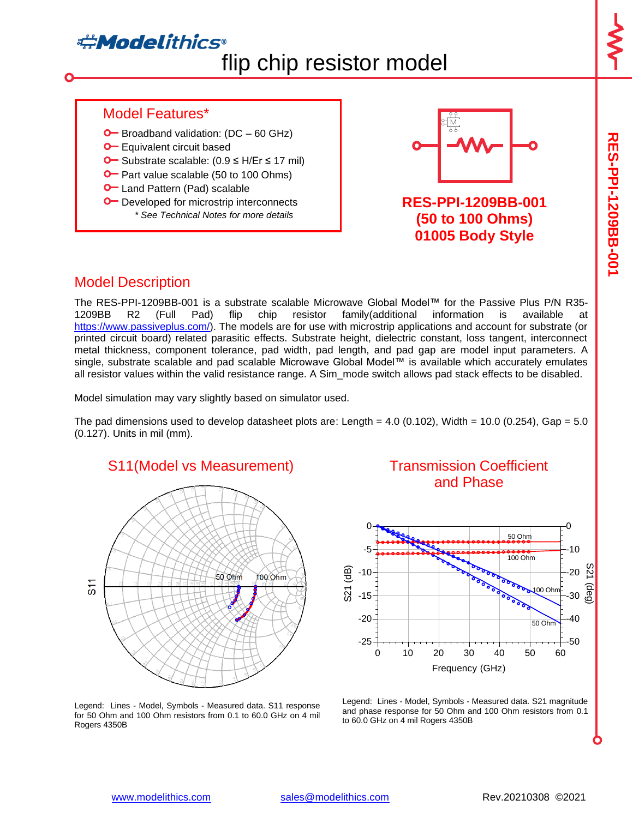# **Adelithics®** flip chip resistor model

**RES-PPI-1209BB-001**

**RES-PPI-1209B-001** 

#### Model Features\*

- $\bullet$  Broadband validation: (DC 60 GHz)
- **O** Equivalent circuit based
- Substrate scalable: (0.9 ≤ H/Er ≤ 17 mil)
- **O** Part value scalable (50 to 100 Ohms)
- **O** Land Pattern (Pad) scalable
- **O** Developed for microstrip interconnects *\* See Technical Notes for more details*



**RES-PPI-1209BB-001 (50 to 100 Ohms) 01005 Body Style**

### Model Description

The RES-PPI-1209BB-001 is a substrate scalable Microwave Global Model™ for the Passive Plus P/N R35- 1209BB R2 (Full Pad) flip chip resistor family(additional information is available at [https://www.passiveplus.com/\)](https://www.passiveplus.com/). The models are for use with microstrip applications and account for substrate (or printed circuit board) related parasitic effects. Substrate height, dielectric constant, loss tangent, interconnect metal thickness, component tolerance, pad width, pad length, and pad gap are model input parameters. A single, substrate scalable and pad scalable Microwave Global Model™ is available which accurately emulates all resistor values within the valid resistance range. A Sim\_mode switch allows pad stack effects to be disabled.

Model simulation may vary slightly based on simulator used.

The pad dimensions used to develop datasheet plots are: Length =  $4.0$  (0.102), Width = 10.0 (0.254), Gap =  $5.0$ (0.127). Units in mil (mm).



#### Transmission Coefficient and Phase



Legend: Lines - Model, Symbols - Measured data. S21 magnitude and phase response for 50 Ohm and 100 Ohm resistors from 0.1 to 60.0 GHz on 4 mil Rogers 4350B

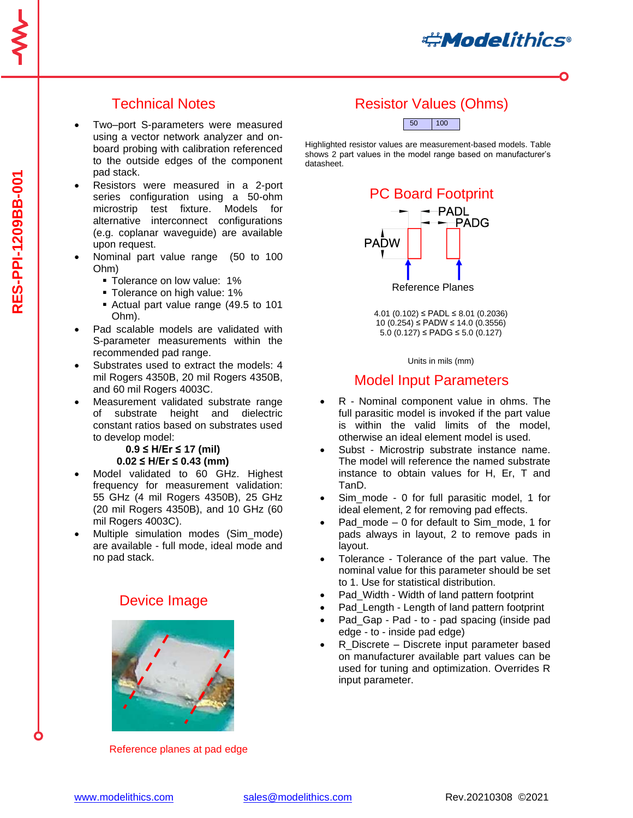**#Modelithics** 

# Technical Notes

- Two–port S-parameters were measured using a vector network analyzer and onboard probing with calibration referenced to the outside edges of the component pad stack.
- Resistors were measured in a 2-port series configuration using a 50-ohm microstrip test fixture. Models for alternative interconnect configurations (e.g. coplanar waveguide) are available upon request.
- Nominal part value range (50 to 100 Ohm)
	- **Tolerance on low value: 1%**
	- **Tolerance on high value: 1%**
	- Actual part value range (49.5 to 101 Ohm).
- Pad scalable models are validated with S-parameter measurements within the recommended pad range.
- Substrates used to extract the models: 4 mil Rogers 4350B, 20 mil Rogers 4350B, and 60 mil Rogers 4003C.
- Measurement validated substrate range of substrate height and dielectric constant ratios based on substrates used to develop model:

#### **0.9 ≤ H/Er ≤ 17 (mil) 0.02 ≤ H/Er ≤ 0.43 (mm)**

- Model validated to 60 GHz. Highest frequency for measurement validation: 55 GHz (4 mil Rogers 4350B), 25 GHz (20 mil Rogers 4350B), and 10 GHz (60 mil Rogers 4003C).
- Multiple simulation modes (Sim\_mode) are available - full mode, ideal mode and no pad stack.

### Device Image



Reference planes at pad edge

# Resistor Values (Ohms)



Highlighted resistor values are measurement-based models. Table shows 2 part values in the model range based on manufacturer's datasheet.



4.01 (0.102) ≤ PADL ≤ 8.01 (0.2036) 10 (0.254) ≤ PADW ≤ 14.0 (0.3556) 5.0 (0.127) ≤ PADG ≤ 5.0 (0.127)

Units in mils (mm)

#### Model Input Parameters

- R Nominal component value in ohms. The full parasitic model is invoked if the part value is within the valid limits of the model, otherwise an ideal element model is used.
- Subst Microstrip substrate instance name. The model will reference the named substrate instance to obtain values for H, Er, T and TanD.
- Sim\_mode 0 for full parasitic model, 1 for ideal element, 2 for removing pad effects.
- Pad mode  $-0$  for default to Sim\_mode, 1 for pads always in layout, 2 to remove pads in layout.
- Tolerance Tolerance of the part value. The nominal value for this parameter should be set to 1. Use for statistical distribution.
- Pad\_Width Width of land pattern footprint
- Pad Length Length of land pattern footprint
- Pad Gap Pad to pad spacing (inside pad edge - to - inside pad edge)
- R Discrete Discrete input parameter based on manufacturer available part values can be used for tuning and optimization. Overrides R input parameter.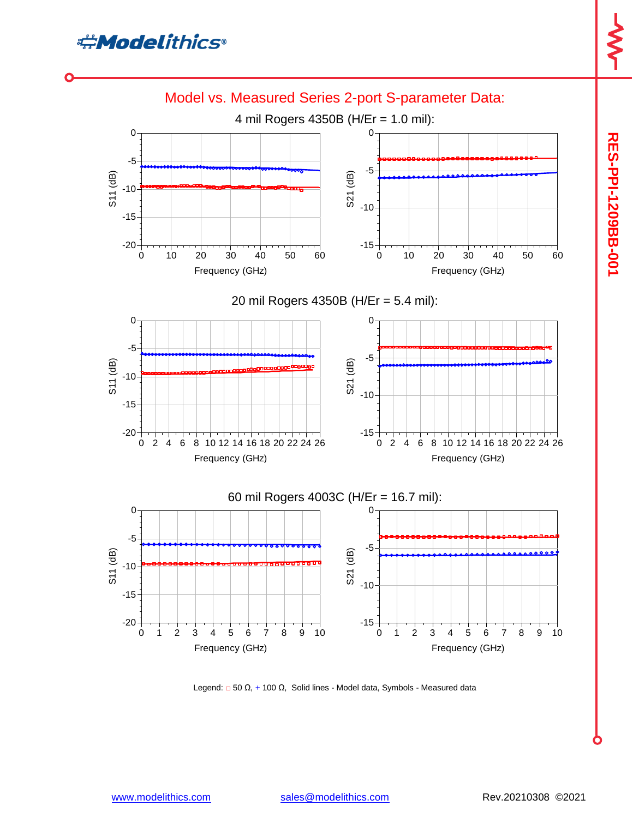



Legend: □ 50 Ω, + 100 Ω, Solid lines - Model data, Symbols - Measured data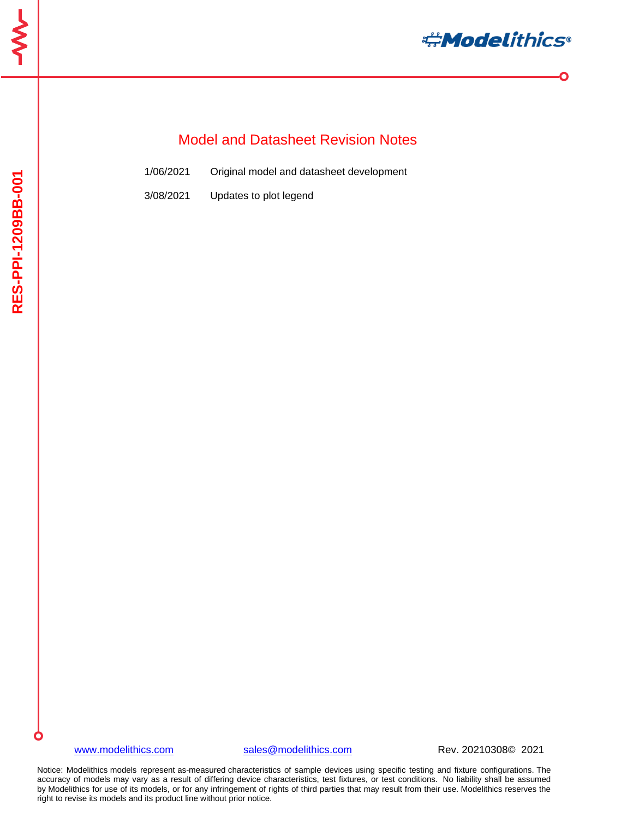

 $\bullet$ 

# Model and Datasheet Revision Notes

| 1/06/2021 |  | Original model and datasheet development |  |
|-----------|--|------------------------------------------|--|
|           |  |                                          |  |

3/08/2021 Updates to plot legend

#### [www.modelithics.com](http://www.modelithics.com/) [sales@modelithics.com](mailto:sales@modelithics.com) Rev. 20210308© 2021

Notice: Modelithics models represent as-measured characteristics of sample devices using specific testing and fixture configurations. The accuracy of models may vary as a result of differing device characteristics, test fixtures, or test conditions. No liability shall be assumed by Modelithics for use of its models, or for any infringement of rights of third parties that may result from their use. Modelithics reserves the right to revise its models and its product line without prior notice.